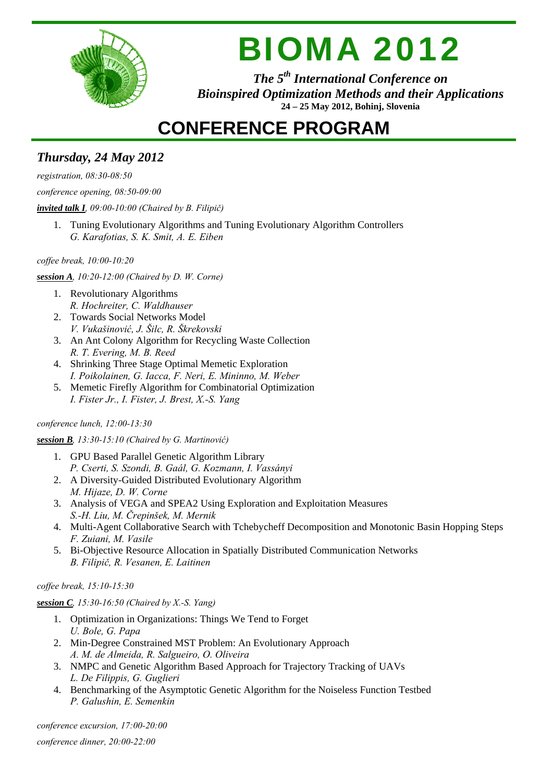

# BIOMA 2012

*The 5th International Conference on Bioinspired Optimization Methods and their Applications*  **24 – 25 May 2012, Bohinj, Slovenia**

## **CONFERENCE PROGRAM**

### *Thursday, 24 May 2012*

*registration, 08:30-08:50* 

*conference opening, 08:50-09:00* 

### *invited talk I, 09:00-10:00 (Chaired by B. Filipič)*

1. Tuning Evolutionary Algorithms and Tuning Evolutionary Algorithm Controllers *G. Karafotias, S. K. Smit, A. E. Eiben*

*coffee break, 10:00-10:20* 

*session A, 10:20-12:00 (Chaired by D. W. Corne)* 

- 1. Revolutionary Algorithms *R. Hochreiter, C. Waldhauser*
- 2. Towards Social Networks Model *V. Vukašinović, J. Šilc, R. Škrekovski*
- 3. An Ant Colony Algorithm for Recycling Waste Collection *R. T. Evering, M. B. Reed*
- 4. Shrinking Three Stage Optimal Memetic Exploration *I. Poikolainen, G. Iacca, F. Neri, E. Mininno, M. Weber*
- 5. Memetic Firefly Algorithm for Combinatorial Optimization *I. Fister Jr., I. Fister, J. Brest, X.-S. Yang*

### *conference lunch, 12:00-13:30*

### *session B, 13:30-15:10 (Chaired by G. Martinović)*

- 1. GPU Based Parallel Genetic Algorithm Library *P. Cserti, S. Szondi, B. Gaál, G. Kozmann, I. Vassányi*
- 2. A Diversity-Guided Distributed Evolutionary Algorithm *M. Hijaze, D. W. Corne*
- 3. Analysis of VEGA and SPEA2 Using Exploration and Exploitation Measures *S.-H. Liu, M. Črepinšek, M. Mernik*
- 4. Multi-Agent Collaborative Search with Tchebycheff Decomposition and Monotonic Basin Hopping Steps *F. Zuiani, M. Vasile*
- 5. Bi-Objective Resource Allocation in Spatially Distributed Communication Networks *B. Filipič, R. Vesanen, E. Laitinen*

*coffee break, 15:10-15:30* 

*session C, 15:30-16:50 (Chaired by X.-S. Yang)* 

- 1. Optimization in Organizations: Things We Tend to Forget *U. Bole, G. Papa*
- 2. Min-Degree Constrained MST Problem: An Evolutionary Approach *A. M. de Almeida, R. Salgueiro, O. Oliveira*
- 3. NMPC and Genetic Algorithm Based Approach for Trajectory Tracking of UAVs *L. De Filippis, G. Guglieri*
- 4. Benchmarking of the Asymptotic Genetic Algorithm for the Noiseless Function Testbed *P. Galushin, E. Semenkin*

*conference excursion, 17:00-20:00*